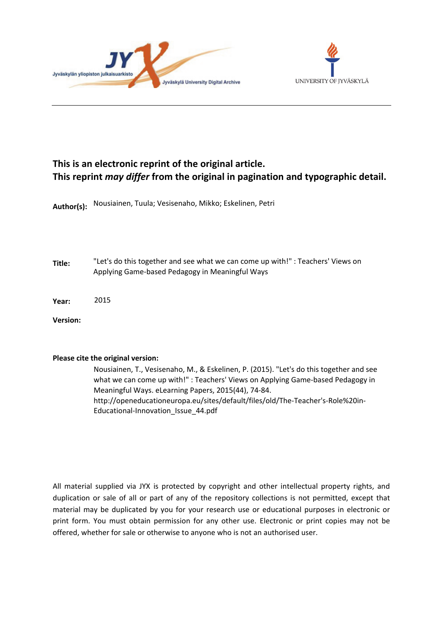



# **This is an electronic reprint of the original article. This reprint** *may differ* **from the original in pagination and typographic detail.**

**Author(s):**  Nousiainen, Tuula; Vesisenaho, Mikko; Eskelinen, Petri

**Title:** "Let's do this together and see what we can come up with!" : Teachers' Views on Applying Game-based Pedagogy in Meaningful Ways

**Year:**  2015

**Version:**

#### **Please cite the original version:**

Nousiainen, T., Vesisenaho, M., & Eskelinen, P. (2015). "Let's do this together and see what we can come up with!" : Teachers' Views on Applying Game-based Pedagogy in Meaningful Ways. eLearning Papers, 2015(44), 74-84. http://openeducationeuropa.eu/sites/default/files/old/The-Teacher's-Role%20in-Educational-Innovation\_Issue\_44.pdf

All material supplied via JYX is protected by copyright and other intellectual property rights, and duplication or sale of all or part of any of the repository collections is not permitted, except that material may be duplicated by you for your research use or educational purposes in electronic or print form. You must obtain permission for any other use. Electronic or print copies may not be offered, whether for sale or otherwise to anyone who is not an authorised user.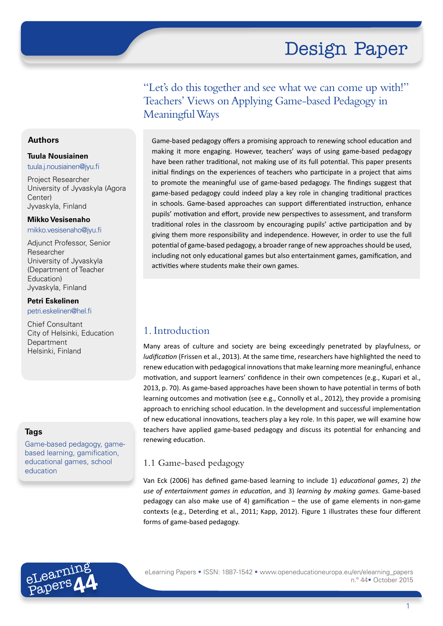"Let's do this together and see what we can come up with!" Teachers' Views on Applying Game-based Pedagogy in Meaningful Ways

Game-based pedagogy offers a promising approach to renewing school education and making it more engaging. However, teachers' ways of using game-based pedagogy have been rather traditional, not making use of its full potential. This paper presents initial findings on the experiences of teachers who participate in a project that aims to promote the meaningful use of game-based pedagogy. The findings suggest that game-based pedagogy could indeed play a key role in changing traditional practices in schools. Game-based approaches can support differentiated instruction, enhance pupils' motivation and effort, provide new perspectives to assessment, and transform traditional roles in the classroom by encouraging pupils' active participation and by giving them more responsibility and independence. However, in order to use the full potential of game-based pedagogy, a broader range of new approaches should be used, including not only educational games but also entertainment games, gamification, and activities where students make their own games.

# 1. Introduction

Many areas of culture and society are being exceedingly penetrated by playfulness, or *ludification* (Frissen et al., 2013). At the same time, researchers have highlighted the need to renew education with pedagogical innovations that make learning more meaningful, enhance motivation, and support learners' confidence in their own competences (e.g., Kupari et al., 2013, p. 70). As game-based approaches have been shown to have potential in terms of both learning outcomes and motivation (see e.g., Connolly et al., 2012), they provide a promising approach to enriching school education. In the development and successful implementation of new educational innovations, teachers play a key role. In this paper, we will examine how teachers have applied game-based pedagogy and discuss its potential for enhancing and renewing education.

## 1.1 Game-based pedagogy

Van Eck (2006) has defined game-based learning to include 1) *educational games*, 2) *the use of entertainment games in education*, and 3) *learning by making games.* Game-based pedagogy can also make use of 4) gamification – the use of game elements in non-game contexts (e.g., Deterding et al., 2011; Kapp, 2012). Figure 1 illustrates these four different forms of game-based pedagogy.



## **Authors**

#### **Tuula Nousiainen**

tuula.j.nousiainen@jyu.fi

Project Researcher University of Jyvaskyla (Agora Center) Jyvaskyla, Finland

#### **Mikko Vesisenaho**

mikko.vesisenaho@jyu.fi

Adjunct Professor, Senior Researcher University of Jyvaskyla (Department of Teacher Education) Jyvaskyla, Finland

#### **Petri Eskelinen**

petri.eskelinen@hel.fi

Chief Consultant City of Helsinki, Education Department Helsinki, Finland

#### **Tags**

Game-based pedagogy, gamebased learning, gamification, educational games, school education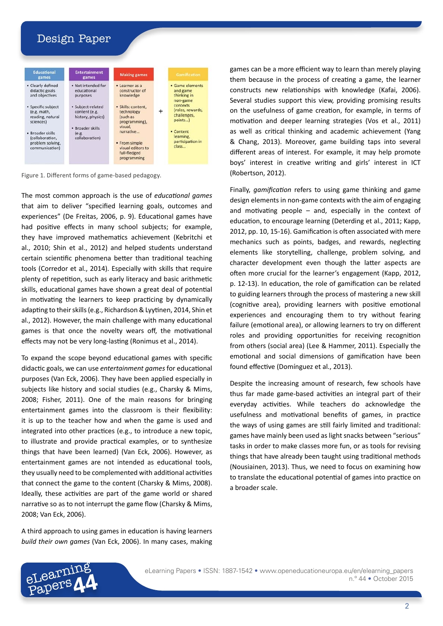

Figure 1. Different forms of game-based pedagogy.

The most common approach is the use of *educational games*  that aim to deliver "specified learning goals, outcomes and experiences" (De Freitas, 2006, p. 9). Educational games have had positive effects in many school subjects; for example, they have improved mathematics achievement (Kebritchi et al., 2010; Shin et al., 2012) and helped students understand certain scientific phenomena better than traditional teaching tools (Corredor et al., 2014). Especially with skills that require plenty of repetition, such as early literacy and basic arithmetic skills, educational games have shown a great deal of potential in motivating the learners to keep practicing by dynamically adapting to their skills (e.g., Richardson & Lyytinen, 2014, Shin et al., 2012). However, the main challenge with many educational games is that once the novelty wears off, the motivational effects may not be very long-lasting (Ronimus et al., 2014).

To expand the scope beyond educational games with specific didactic goals, we can use *entertainment games* for educational purposes (Van Eck, 2006). They have been applied especially in subjects like history and social studies (e.g., Charsky & Mims, 2008; Fisher, 2011). One of the main reasons for bringing entertainment games into the classroom is their flexibility: it is up to the teacher how and when the game is used and integrated into other practices (e.g., to introduce a new topic, to illustrate and provide practical examples, or to synthesize things that have been learned) (Van Eck, 2006). However, as entertainment games are not intended as educational tools, they usually need to be complemented with additional activities that connect the game to the content (Charsky & Mims, 2008). Ideally, these activities are part of the game world or shared narrative so as to not interrupt the game flow (Charsky & Mims, 2008; Van Eck, 2006).

A third approach to using games in education is having learners *build their own games* (Van Eck, 2006). In many cases, making

eLearning Papers**44** games can be a more efficient way to learn than merely playing them because in the process of creating a game, the learner constructs new relationships with knowledge (Kafai, 2006). Several studies support this view, providing promising results on the usefulness of game creation, for example, in terms of motivation and deeper learning strategies (Vos et al., 2011) as well as critical thinking and academic achievement (Yang & Chang, 2013). Moreover, game building taps into several different areas of interest. For example, it may help promote boys' interest in creative writing and girls' interest in ICT (Robertson, 2012).

Finally, *gamification* refers to using game thinking and game design elements in non-game contexts with the aim of engaging and motivating people  $-$  and, especially in the context of education, to encourage learning (Deterding et al., 2011; Kapp, 2012, pp. 10, 15-16). Gamification is often associated with mere mechanics such as points, badges, and rewards, neglecting elements like storytelling, challenge, problem solving, and character development even though the latter aspects are often more crucial for the learner's engagement (Kapp, 2012, p. 12-13). In education, the role of gamification can be related to guiding learners through the process of mastering a new skill (cognitive area), providing learners with positive emotional experiences and encouraging them to try without fearing failure (emotional area), or allowing learners to try on different roles and providing opportunities for receiving recognition from others (social area) (Lee & Hammer, 2011). Especially the emotional and social dimensions of gamification have been found effective (Domínguez et al., 2013).

Despite the increasing amount of research, few schools have thus far made game-based activities an integral part of their everyday activities. While teachers do acknowledge the usefulness and motivational benefits of games, in practice the ways of using games are still fairly limited and traditional: games have mainly been used as light snacks between "serious" tasks in order to make classes more fun, or as tools for revising things that have already been taught using traditional methods (Nousiainen, 2013). Thus, we need to focus on examining how to translate the educational potential of games into practice on a broader scale.

eLearning Papers • ISSN: 1887-1542 • [www.openeducationeuropa.eu/en/elearning](http://http://www.openeducationeuropa.eu/en/elearning_papers)\_papers

n.º 44 • October 2015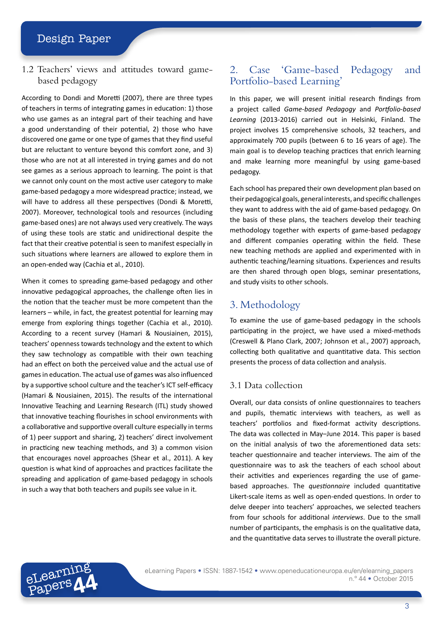1.2 Teachers' views and attitudes toward gamebased pedagogy

According to Dondi and Moretti (2007), there are three types of teachers in terms of integrating games in education: 1) those who use games as an integral part of their teaching and have a good understanding of their potential, 2) those who have discovered one game or one type of games that they find useful but are reluctant to venture beyond this comfort zone, and 3) those who are not at all interested in trying games and do not see games as a serious approach to learning. The point is that we cannot only count on the most active user category to make game-based pedagogy a more widespread practice; instead, we will have to address all these perspectives (Dondi & Moretti, 2007). Moreover, technological tools and resources (including game-based ones) are not always used very creatively. The ways of using these tools are static and unidirectional despite the fact that their creative potential is seen to manifest especially in such situations where learners are allowed to explore them in an open-ended way (Cachia et al., 2010).

When it comes to spreading game-based pedagogy and other innovative pedagogical approaches, the challenge often lies in the notion that the teacher must be more competent than the learners – while, in fact, the greatest potential for learning may emerge from exploring things together (Cachia et al., 2010). According to a recent survey (Hamari & Nousiainen, 2015), teachers' openness towards technology and the extent to which they saw technology as compatible with their own teaching had an effect on both the perceived value and the actual use of games in education. The actual use of games was also influenced by a supportive school culture and the teacher's ICT self-efficacy (Hamari & Nousiainen, 2015). The results of the international Innovative Teaching and Learning Research (ITL) study showed that innovative teaching flourishes in school environments with a collaborative and supportive overall culture especially in terms of 1) peer support and sharing, 2) teachers' direct involvement in practicing new teaching methods, and 3) a common vision that encourages novel approaches (Shear et al., 2011). A key question is what kind of approaches and practices facilitate the spreading and application of game-based pedagogy in schools in such a way that both teachers and pupils see value in it.

## 2. Case 'Game-based Pedagogy and Portfolio-based Learning'

In this paper, we will present initial research findings from a project called *Game-based Pedagogy* and *Portfolio-based Learning* (2013-2016) carried out in Helsinki, Finland. The project involves 15 comprehensive schools, 32 teachers, and approximately 700 pupils (between 6 to 16 years of age). The main goal is to develop teaching practices that enrich learning and make learning more meaningful by using game-based pedagogy.

Each school has prepared their own development plan based on their pedagogical goals, general interests, and specific challenges they want to address with the aid of game-based pedagogy. On the basis of these plans, the teachers develop their teaching methodology together with experts of game-based pedagogy and different companies operating within the field. These new teaching methods are applied and experimented with in authentic teaching/learning situations. Experiences and results are then shared through open blogs, seminar presentations, and study visits to other schools.

# 3. Methodology

To examine the use of game-based pedagogy in the schools participating in the project, we have used a mixed-methods (Creswell & Plano Clark, 2007; Johnson et al., 2007) approach, collecting both qualitative and quantitative data. This section presents the process of data collection and analysis.

## 3.1 Data collection

Overall, our data consists of online questionnaires to teachers and pupils, thematic interviews with teachers, as well as teachers' portfolios and fixed-format activity descriptions. The data was collected in May–June 2014. This paper is based on the initial analysis of two the aforementioned data sets: teacher questionnaire and teacher interviews. The aim of the questionnaire was to ask the teachers of each school about their activities and experiences regarding the use of gamebased approaches. The *questionnaire* included quantitative Likert-scale items as well as open-ended questions. In order to delve deeper into teachers' approaches, we selected teachers from four schools for additional *interviews*. Due to the small number of participants, the emphasis is on the qualitative data, and the quantitative data serves to illustrate the overall picture.

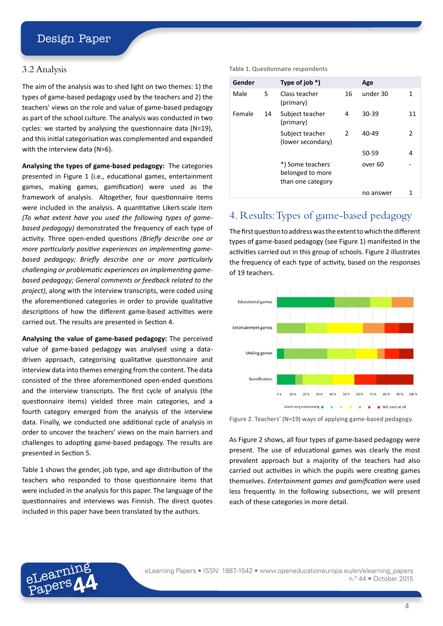#### 3.2 Analysis

The aim of the analysis was to shed light on two themes: 1) the types of game-based pedagogy used by the teachers and 2) the teachers' views on the role and value of game-based pedagogy as part of the school culture. The analysis was conducted in two cycles: we started by analysing the questionnaire data (N=19), and this initial categorisation was complemented and expanded with the interview data (N=6).

**Analysing the types of game-based pedagogy:** The categories presented in Figure 1 (i.e., educational games, entertainment games, making games, gamification) were used as the framework of analysis. Altogether, four questionnaire items were included in the analysis. A quantitative Likert-scale item *(To what extent have you used the following types of gamebased pedagogy)* demonstrated the frequency of each type of activity. Three open-ended questions *(Briefly describe one or more particularly positive experiences on implementing gamebased pedagogy; Briefly describe one or more particularly challenging or problematic experiences on implementing gamebased pedagogy; General comments or feedback related to the project)*, along with the interview transcripts, were coded using the aforementioned categories in order to provide qualitative descriptions of how the different game-based activities were carried out. The results are presented in Section 4.

**Analysing the value of game-based pedagogy:** The perceived value of game-based pedagogy was analysed using a datadriven approach, categorising qualitative questionnaire and interview data into themes emerging from the content. The data consisted of the three aforementioned open-ended questions and the interview transcripts. The first cycle of analysis (the questionnaire items) yielded three main categories, and a fourth category emerged from the analysis of the interview data. Finally, we conducted one additional cycle of analysis in order to uncover the teachers' views on the main barriers and challenges to adopting game-based pedagogy. The results are presented in Section 5.

Table 1 shows the gender, job type, and age distribution of the teachers who responded to those questionnaire items that were included in the analysis for this paper. The language of the questionnaires and interviews was Finnish. The direct quotes included in this paper have been translated by the authors.

eLearning Papers**44**

#### Table 1. Questionnaire respondents

| Gender |    | Type of job $*$ )                                         |               | Age       |    |
|--------|----|-----------------------------------------------------------|---------------|-----------|----|
| Male   | 5. | Class teacher<br>(primary)                                | 16            | under 30  | 1  |
| Female | 14 | Subject teacher<br>(primary)                              | 4             | 30-39     | 11 |
|        |    | Subject teacher<br>(lower secondary)                      | $\mathcal{P}$ | 40-49     | 2  |
|        |    |                                                           |               | 50-59     | 4  |
|        |    | *) Some teachers<br>belonged to more<br>than one category |               | over 60   |    |
|        |    |                                                           |               | no answer |    |

# 4. Results: Types of game-based pedagogy

The first question to address was the extent to which the different types of game-based pedagogy (see Figure 1) manifested in the activities carried out in this group of schools. Figure 2 illustrates the frequency of each type of activity, based on the responses of 19 teachers.



Figure 2. Teachers' (N=19) ways of applying game-based pedagogy.

As Figure 2 shows, all four types of game-based pedagogy were present. The use of educational games was clearly the most prevalent approach but a majority of the teachers had also carried out activities in which the pupils were creating games themselves. *Entertainment games and gamification* were used less frequently. In the following subsections, we will present each of these categories in more detail.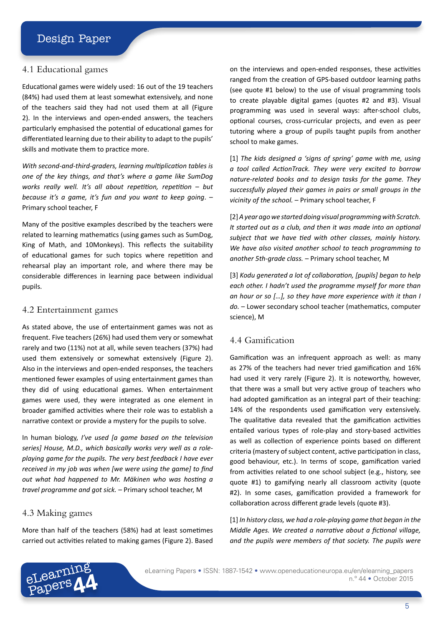#### 4.1 Educational games

Educational games were widely used: 16 out of the 19 teachers (84%) had used them at least somewhat extensively, and none of the teachers said they had not used them at all (Figure 2). In the interviews and open-ended answers, the teachers particularly emphasised the potential of educational games for differentiated learning due to their ability to adapt to the pupils' skills and motivate them to practice more.

*With second-and-third-graders, learning multiplication tables is one of the key things, and that's where a game like SumDog works really well. It's all about repetition, repetition – but because it's a game, it's fun and you want to keep going*. – Primary school teacher, F

Many of the positive examples described by the teachers were related to learning mathematics (using games such as SumDog, King of Math, and 10Monkeys). This reflects the suitability of educational games for such topics where repetition and rehearsal play an important role, and where there may be considerable differences in learning pace between individual pupils.

#### 4.2 Entertainment games

As stated above, the use of entertainment games was not as frequent. Five teachers (26%) had used them very or somewhat rarely and two (11%) not at all, while seven teachers (37%) had used them extensively or somewhat extensively (Figure 2). Also in the interviews and open-ended responses, the teachers mentioned fewer examples of using entertainment games than they did of using educational games. When entertainment games were used, they were integrated as one element in broader gamified activities where their role was to establish a narrative context or provide a mystery for the pupils to solve.

In human biology, *I've used [a game based on the television series] House, M.D., which basically works very well as a roleplaying game for the pupils. The very best feedback I have ever received in my job was when [we were using the game] to find out what had happened to Mr. Mäkinen who was hosting a travel programme and got sick.* – Primary school teacher, M

#### 4.3 Making games

More than half of the teachers (58%) had at least sometimes carried out activities related to making games (Figure 2). Based

on the interviews and open-ended responses, these activities ranged from the creation of GPS-based outdoor learning paths (see quote #1 below) to the use of visual programming tools to create playable digital games (quotes #2 and #3). Visual programming was used in several ways: after-school clubs, optional courses, cross-curricular projects, and even as peer tutoring where a group of pupils taught pupils from another school to make games.

[1] *The kids designed a 'signs of spring' game with me, using a tool called ActionTrack. They were very excited to borrow nature-related books and to design tasks for the game. They successfully played their games in pairs or small groups in the vicinity of the school.* – Primary school teacher, F

[2] *A year ago we started doing visual programming with Scratch. It started out as a club, and then it was made into an optional subject that we have tied with other classes, mainly history. We have also visited another school to teach programming to another 5th-grade class.* – Primary school teacher, M

[3] *Kodu generated a lot of collaboration, [pupils] began to help each other. I hadn't used the programme myself for more than an hour or so […], so they have more experience with it than I do.* – Lower secondary school teacher (mathematics, computer science), M

### 4.4 Gamification

Gamification was an infrequent approach as well: as many as 27% of the teachers had never tried gamification and 16% had used it very rarely (Figure 2). It is noteworthy, however, that there was a small but very active group of teachers who had adopted gamification as an integral part of their teaching: 14% of the respondents used gamification very extensively. The qualitative data revealed that the gamification activities entailed various types of role-play and story-based activities as well as collection of experience points based on different criteria (mastery of subject content, active participation in class, good behaviour, etc.). In terms of scope, gamification varied from activities related to one school subject (e.g., history, see quote #1) to gamifying nearly all classroom activity (quote #2). In some cases, gamification provided a framework for collaboration across different grade levels (quote #3).

[1] *In history class, we had a role-playing game that began in the Middle Ages. We created a narrative about a fictional village, and the pupils were members of that society. The pupils were*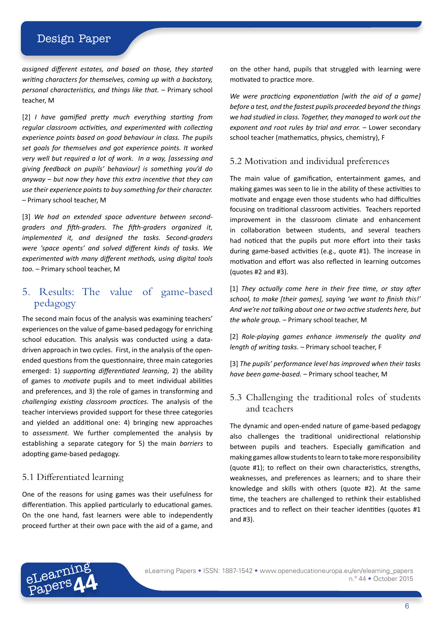*assigned different estates, and based on those, they started writing characters for themselves, coming up with a backstory, personal characteristics, and things like that.* – Primary school teacher, M

[2] *I have gamified pretty much everything starting from regular classroom activities, and experimented with collecting experience points based on good behaviour in class. The pupils set goals for themselves and got experience points. It worked very well but required a lot of work. In a way, [assessing and giving feedback on pupils' behaviour] is something you'd do anyway – but now they have this extra incentive that they can use their experience points to buy something for their character.*  – Primary school teacher, M

[3] *We had an extended space adventure between secondgraders and fifth-graders. The fifth-graders organized it, implemented it, and designed the tasks. Second-graders were 'space agents' and solved different kinds of tasks. We experimented with many different methods, using digital tools too.* – Primary school teacher, M

# 5. Results: The value of game-based pedagogy

The second main focus of the analysis was examining teachers' experiences on the value of game-based pedagogy for enriching school education. This analysis was conducted using a datadriven approach in two cycles. First, in the analysis of the openended questions from the questionnaire, three main categories emerged: 1) *supporting differentiated learning*, 2) the ability of games to *motivate* pupils and to meet individual abilities and preferences, and 3) the role of games in transforming and *challenging existing classroom practices.* The analysis of the teacher interviews provided support for these three categories and yielded an additional one: 4) bringing new approaches to *assessment.* We further complemented the analysis by establishing a separate category for 5) the main *barriers* to adopting game-based pedagogy.

## 5.1 Differentiated learning

One of the reasons for using games was their usefulness for differentiation. This applied particularly to educational games. On the one hand, fast learners were able to independently proceed further at their own pace with the aid of a game, and on the other hand, pupils that struggled with learning were motivated to practice more.

*We were practicing exponentiation [with the aid of a game] before a test, and the fastest pupils proceeded beyond the things we had studied in class. Together, they managed to work out the exponent and root rules by trial and error.* – Lower secondary school teacher (mathematics, physics, chemistry), F

#### 5.2 Motivation and individual preferences

The main value of gamification, entertainment games, and making games was seen to lie in the ability of these activities to motivate and engage even those students who had difficulties focusing on traditional classroom activities. Teachers reported improvement in the classroom climate and enhancement in collaboration between students, and several teachers had noticed that the pupils put more effort into their tasks during game-based activities (e.g., quote #1). The increase in motivation and effort was also reflected in learning outcomes (quotes #2 and #3).

[1] *They actually come here in their free time, or stay after school, to make [their games], saying 'we want to finish this!' And we're not talking about one or two active students here, but the whole group.* – Primary school teacher, M

[2] *Role-playing games enhance immensely the quality and length of writing tasks.* – Primary school teacher, F

[3] *The pupils' performance level has improved when their tasks have been game-based.* – Primary school teacher, M

## 5.3 Challenging the traditional roles of students and teachers

The dynamic and open-ended nature of game-based pedagogy also challenges the traditional unidirectional relationship between pupils and teachers. Especially gamification and making games allow students to learn to take more responsibility (quote #1); to reflect on their own characteristics, strengths, weaknesses, and preferences as learners; and to share their knowledge and skills with others (quote #2). At the same time, the teachers are challenged to rethink their established practices and to reflect on their teacher identities (quotes #1 and #3).

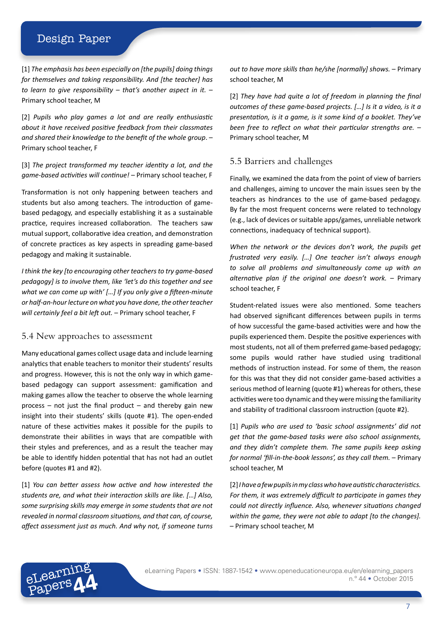[1] *The emphasis has been especially on [the pupils] doing things for themselves and taking responsibility. And [the teacher] has to learn to give responsibility – that's another aspect in it.* – Primary school teacher, M

[2] *Pupils who play games a lot and are really enthusiastic about it have received positive feedback from their classmates and shared their knowledge to the benefit of the whole group*. – Primary school teacher, F

[3] *The project transformed my teacher identity a lot, and the game-based activities will continue!* – Primary school teacher, F

Transformation is not only happening between teachers and students but also among teachers. The introduction of gamebased pedagogy, and especially establishing it as a sustainable practice, requires increased collaboration. The teachers saw mutual support, collaborative idea creation, and demonstration of concrete practices as key aspects in spreading game-based pedagogy and making it sustainable.

*I think the key [to encouraging other teachers to try game-based pedagogy] is to involve them, like 'let's do this together and see what we can come up with' […] If you only give a fifteen-minute or half-an-hour lecture on what you have done, the other teacher will certainly feel a bit left out.* – Primary school teacher, F

#### 5.4 New approaches to assessment

Many educational games collect usage data and include learning analytics that enable teachers to monitor their students' results and progress. However, this is not the only way in which gamebased pedagogy can support assessment: gamification and making games allow the teacher to observe the whole learning process  $-$  not just the final product  $-$  and thereby gain new insight into their students' skills (quote #1). The open-ended nature of these activities makes it possible for the pupils to demonstrate their abilities in ways that are compatible with their styles and preferences, and as a result the teacher may be able to identify hidden potential that has not had an outlet before (quotes #1 and #2).

[1] *You can better assess how active and how interested the students are, and what their interaction skills are like. […] Also, some surprising skills may emerge in some students that are not revealed in normal classroom situations, and that can, of course, affect assessment just as much. And why not, if someone turns* 

eLearning Papers**44** *out to have more skills than he/she [normally] shows.* – Primary school teacher, M

[2] *They have had quite a lot of freedom in planning the final outcomes of these game-based projects. […] Is it a video, is it a presentation, is it a game, is it some kind of a booklet. They've been free to reflect on what their particular strengths are.* – Primary school teacher, M

#### 5.5 Barriers and challenges

Finally, we examined the data from the point of view of barriers and challenges, aiming to uncover the main issues seen by the teachers as hindrances to the use of game-based pedagogy. By far the most frequent concerns were related to technology (e.g., lack of devices or suitable apps/games, unreliable network connections, inadequacy of technical support).

*When the network or the devices don't work, the pupils get frustrated very easily. […] One teacher isn't always enough to solve all problems and simultaneously come up with an alternative plan if the original one doesn't work.* – Primary school teacher, F

Student-related issues were also mentioned. Some teachers had observed significant differences between pupils in terms of how successful the game-based activities were and how the pupils experienced them. Despite the positive experiences with most students, not all of them preferred game-based pedagogy; some pupils would rather have studied using traditional methods of instruction instead. For some of them, the reason for this was that they did not consider game-based activities a serious method of learning (quote #1) whereas for others, these activities were too dynamic and they were missing the familiarity and stability of traditional classroom instruction (quote #2).

[1] *Pupils who are used to 'basic school assignments' did not get that the game-based tasks were also school assignments, and they didn't complete them. The same pupils keep asking for normal 'fill-in-the-book lessons', as they call them.* – Primary school teacher, M

[2] *I have a few pupils in my class who have autistic characteristics. For them, it was extremely difficult to participate in games they could not directly influence. Also, whenever situations changed within the game, they were not able to adapt [to the changes].* – Primary school teacher, M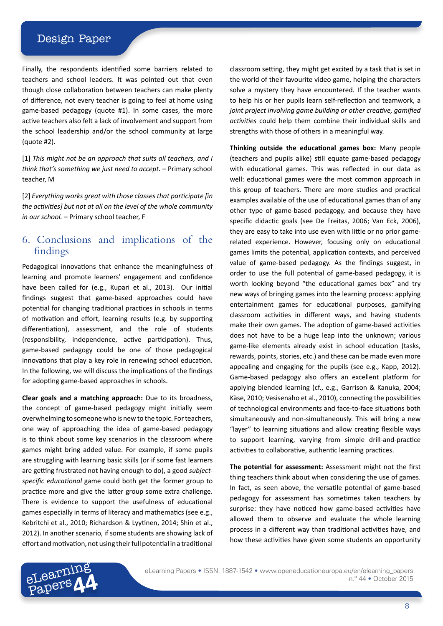Finally, the respondents identified some barriers related to teachers and school leaders. It was pointed out that even though close collaboration between teachers can make plenty of difference, not every teacher is going to feel at home using game-based pedagogy (quote #1). In some cases, the more active teachers also felt a lack of involvement and support from the school leadership and/or the school community at large (quote #2).

[1] *This might not be an approach that suits all teachers, and I think that's something we just need to accept.* – Primary school teacher, M

[2] *Everything works great with those classes that participate [in the activities] but not at all on the level of the whole community in our school.* – Primary school teacher, F

## 6. Conclusions and implications of the findings

Pedagogical innovations that enhance the meaningfulness of learning and promote learners' engagement and confidence have been called for (e.g., Kupari et al., 2013). Our initial findings suggest that game-based approaches could have potential for changing traditional practices in schools in terms of motivation and effort, learning results (e.g. by supporting differentiation), assessment, and the role of students (responsibility, independence, active participation). Thus, game-based pedagogy could be one of those pedagogical innovations that play a key role in renewing school education. In the following, we will discuss the implications of the findings for adopting game-based approaches in schools.

**Clear goals and a matching approach:** Due to its broadness, the concept of game-based pedagogy might initially seem overwhelming to someone who is new to the topic. For teachers, one way of approaching the idea of game-based pedagogy is to think about some key scenarios in the classroom where games might bring added value. For example, if some pupils are struggling with learning basic skills (or if some fast learners are getting frustrated not having enough to do), a good *subjectspecific educational* game could both get the former group to practice more and give the latter group some extra challenge. There is evidence to support the usefulness of educational games especially in terms of literacy and mathematics (see e.g., Kebritchi et al., 2010; Richardson & Lyytinen, 2014; Shin et al., 2012). In another scenario, if some students are showing lack of effort and motivation, not using their full potential in a traditional classroom setting, they might get excited by a task that is set in the world of their favourite video game, helping the characters solve a mystery they have encountered. If the teacher wants to help his or her pupils learn self-reflection and teamwork, a *joint project involving game building or other creative, gamified activities* could help them combine their individual skills and strengths with those of others in a meaningful way.

**Thinking outside the educational games box:** Many people (teachers and pupils alike) still equate game-based pedagogy with educational games. This was reflected in our data as well: educational games were the most common approach in this group of teachers. There are more studies and practical examples available of the use of educational games than of any other type of game-based pedagogy, and because they have specific didactic goals (see De Freitas, 2006; Van Eck, 2006), they are easy to take into use even with little or no prior gamerelated experience. However, focusing only on educational games limits the potential, application contexts, and perceived value of game-based pedagogy. As the findings suggest, in order to use the full potential of game-based pedagogy, it is worth looking beyond "the educational games box" and try new ways of bringing games into the learning process: applying entertainment games for educational purposes, gamifying classroom activities in different ways, and having students make their own games. The adoption of game-based activities does not have to be a huge leap into the unknown; various game-like elements already exist in school education (tasks, rewards, points, stories, etc.) and these can be made even more appealing and engaging for the pupils (see e.g., Kapp, 2012). Game-based pedagogy also offers an excellent platform for applying blended learning (cf., e.g., Garrison & Kanuka, 2004; Käse, 2010; Vesisenaho et al., 2010), connecting the possibilities of technological environments and face-to-face situations both simultaneously and non-simultaneously. This will bring a new "layer" to learning situations and allow creating flexible ways to support learning, varying from simple drill-and-practice activities to collaborative, authentic learning practices.

**The potential for assessment:** Assessment might not the first thing teachers think about when considering the use of games. In fact, as seen above, the versatile potential of game-based pedagogy for assessment has sometimes taken teachers by surprise: they have noticed how game-based activities have allowed them to observe and evaluate the whole learning process in a different way than traditional activities have, and how these activities have given some students an opportunity



eLearning Papers • ISSN: 1887-1542 • [www.openeducationeuropa.eu/en/elearning](http://http://www.openeducationeuropa.eu/en/elearning_papers)\_papers n.º 44 • October 2015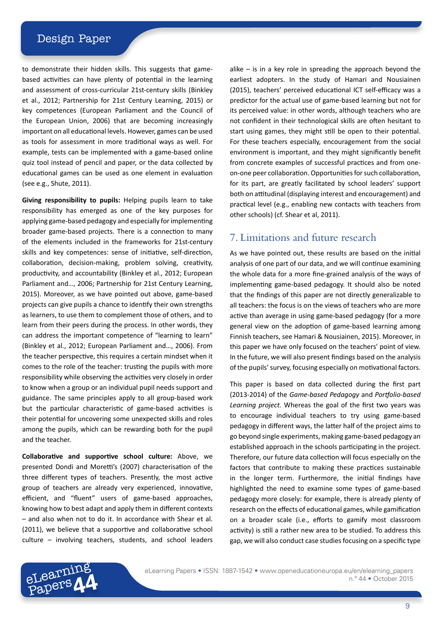to demonstrate their hidden skills. This suggests that gamebased activities can have plenty of potential in the learning and assessment of cross-curricular 21st-century skills (Binkley et al., 2012; Partnership for 21st Century Learning, 2015) or key competences (European Parliament and the Council of the European Union, 2006) that are becoming increasingly important on all educational levels. However, games can be used as tools for assessment in more traditional ways as well. For example, tests can be implemented with a game-based online quiz tool instead of pencil and paper, or the data collected by educational games can be used as one element in evaluation (see e.g., Shute, 2011).

**Giving responsibility to pupils:** Helping pupils learn to take responsibility has emerged as one of the key purposes for applying game-based pedagogy and especially for implementing broader game-based projects. There is a connection to many of the elements included in the frameworks for 21st-century skills and key competences: sense of initiative, self-direction, collaboration, decision-making, problem solving, creativity, productivity, and accountability (Binkley et al., 2012; European Parliament and…, 2006; Partnership for 21st Century Learning, 2015). Moreover, as we have pointed out above, game-based projects can give pupils a chance to identify their own strengths as learners, to use them to complement those of others, and to learn from their peers during the process. In other words, they can address the important competence of "learning to learn" (Binkley et al., 2012; European Parliament and…, 2006). From the teacher perspective, this requires a certain mindset when it comes to the role of the teacher: trusting the pupils with more responsibility while observing the activities very closely in order to know when a group or an individual pupil needs support and guidance. The same principles apply to all group-based work but the particular characteristic of game-based activities is their potential for uncovering some unexpected skills and roles among the pupils, which can be rewarding both for the pupil and the teacher.

**Collaborative and supportive school culture:** Above, we presented Dondi and Moretti's (2007) characterisation of the three different types of teachers. Presently, the most active group of teachers are already very experienced, innovative, efficient, and "fluent" users of game-based approaches, knowing how to best adapt and apply them in different contexts – and also when not to do it. In accordance with Shear et al. (2011), we believe that a supportive and collaborative school culture – involving teachers, students, and school leaders

eLearning Papers**44**

alike – is in a key role in spreading the approach beyond the earliest adopters. In the study of Hamari and Nousiainen (2015), teachers' perceived educational ICT self-efficacy was a predictor for the actual use of game-based learning but not for its perceived value: in other words, although teachers who are not confident in their technological skills are often hesitant to start using games, they might still be open to their potential. For these teachers especially, encouragement from the social environment is important, and they might significantly benefit from concrete examples of successful practices and from oneon-one peer collaboration. Opportunities for such collaboration, for its part, are greatly facilitated by school leaders' support both on attitudinal (displaying interest and encouragement) and practical level (e.g., enabling new contacts with teachers from other schools) (cf. Shear et al, 2011).

## 7. Limitations and future research

As we have pointed out, these results are based on the initial analysis of one part of our data, and we will continue examining the whole data for a more fine-grained analysis of the ways of implementing game-based pedagogy. It should also be noted that the findings of this paper are not directly generalizable to all teachers: the focus is on the views of teachers who are more active than average in using game-based pedagogy (for a more general view on the adoption of game-based learning among Finnish teachers, see Hamari & Nousiainen, 2015). Moreover, in this paper we have only focused on the teachers' point of view. In the future, we will also present findings based on the analysis of the pupils' survey, focusing especially on motivational factors.

This paper is based on data collected during the first part (2013-2014) of the *Game-based Pedagogy* and *Portfolio-based Learning project.* Whereas the goal of the first two years was to encourage individual teachers to try using game-based pedagogy in different ways, the latter half of the project aims to go beyond single experiments, making game-based pedagogy an established approach in the schools participating in the project. Therefore, our future data collection will focus especially on the factors that contribute to making these practices sustainable in the longer term. Furthermore, the initial findings have highlighted the need to examine some types of game-based pedagogy more closely: for example, there is already plenty of research on the effects of educational games, while gamification on a broader scale (i.e., efforts to gamify most classroom activity) is still a rather new area to be studied. To address this gap, we will also conduct case studies focusing on a specific type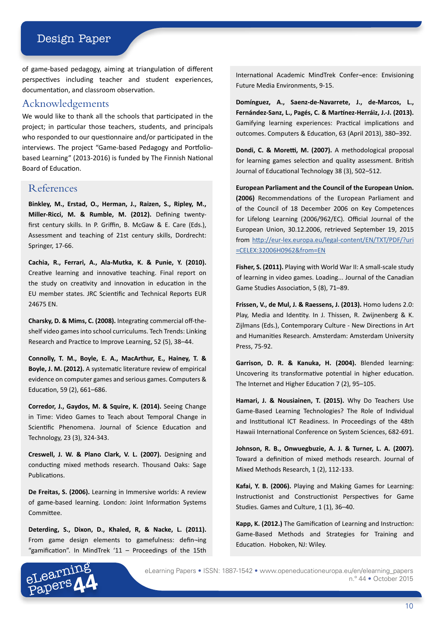of game-based pedagogy, aiming at triangulation of different perspectives including teacher and student experiences, documentation, and classroom observation.

## Acknowledgements

We would like to thank all the schools that participated in the project; in particular those teachers, students, and principals who responded to our questionnaire and/or participated in the interviews. The project "Game-based Pedagogy and Portfoliobased Learning" (2013-2016) is funded by The Finnish National Board of Education.

## References

**Binkley, M., Erstad, O., Herman, J., Raizen, S., Ripley, M., Miller-Ricci, M. & Rumble, M. (2012).** Defining twentyfirst century skills. In P. Griffin, B. McGaw & E. Care (Eds.), Assessment and teaching of 21st century skills, Dordrecht: Springer, 17-66.

**Cachia, R., Ferrari, A., Ala-Mutka, K. & Punie, Y. (2010).**  Creative learning and innovative teaching. Final report on the study on creativity and innovation in education in the EU member states. JRC Scientific and Technical Reports EUR 24675 EN.

**Charsky, D. & Mims, C. (2008).** Integrating commercial off-the‐ shelf video games into school curriculums. Tech Trends: Linking Research and Practice to Improve Learning, 52 (5), 38–44.

**Connolly, T. M., Boyle, E. A., MacArthur, E., Hainey, T. & Boyle, J. M. (2012).** A systematic literature review of empirical evidence on computer games and serious games. Computers & Education, 59 (2), 661–686.

**Corredor, J., Gaydos, M. & Squire, K. (2014).** Seeing Change in Time: Video Games to Teach about Temporal Change in Scientific Phenomena. Journal of Science Education and Technology, 23 (3), 324-343.

**Creswell, J. W. & Plano Clark, V. L. (2007).** Designing and conducting mixed methods research. Thousand Oaks: Sage Publications.

**De Freitas, S. (2006).** Learning in Immersive worlds: A review of game-based learning. London: Joint Information Systems Committee.

**Deterding, S., Dixon, D., Khaled, R, & Nacke, L. (2011).**  From game design elements to gamefulness: defin¬ing "gamification". In MindTrek '11 – Proceedings of the 15th

International Academic MindTrek Confer¬ence: Envisioning Future Media Environments, 9-15.

**Domínguez, A., Saenz-de-Navarrete, J., de-Marcos, L., Fernández-Sanz, L., Pagés, C. & Martínez-Herráiz, J.-J. (2013).**  Gamifying learning experiences: Practical implications and outcomes. Computers & Education, 63 (April 2013), 380–392.

**Dondi, C. & Moretti, M. (2007).** A methodological proposal for learning games selection and quality assessment. British Journal of Educational Technology 38 (3), 502–512.

**European Parliament and the Council of the European Union. (2006)** Recommendations of the European Parliament and of the Council of 18 December 2006 on Key Competences for Lifelong Learning (2006/962/EC). Official Journal of the European Union, 30.12.2006, retrieved September 19, 2015 from http://eur-lex.europa.eu/legal-content/EN/TXT/PDF/?uri =CELEX:32006H0962&from=EN

**Fisher, S. (2011).** Playing with World War II: A small-scale study of learning in video games. Loading... Journal of the Canadian Game Studies Association, 5 (8), 71–89.

**Frissen, V., de Mul, J. & Raessens, J. (2013).** Homo ludens 2.0: Play, Media and Identity. In J. Thissen, R. Zwijnenberg & K. Zijlmans (Eds.), Contemporary Culture - New Directions in Art and Humanities Research. Amsterdam: Amsterdam University Press, 75-92.

**Garrison, D. R. & Kanuka, H. (2004).** Blended learning: Uncovering its transformative potential in higher education. The Internet and Higher Education 7 (2), 95–105.

**Hamari, J. & Nousiainen, T. (2015).** Why Do Teachers Use Game-Based Learning Technologies? The Role of Individual and Institutional ICT Readiness. In Proceedings of the 48th Hawaii International Conference on System Sciences, 682-691.

**Johnson, R. B., Onwuegbuzie, A. J. & Turner, L. A. (2007).** Toward a definition of mixed methods research. Journal of Mixed Methods Research, 1 (2), 112-133.

**Kafai, Y. B. (2006).** Playing and Making Games for Learning: Instructionist and Constructionist Perspectives for Game Studies. Games and Culture, 1 (1), 36–40.

**Kapp, K. (2012.)** The Gamification of Learning and Instruction: Game-Based Methods and Strategies for Training and Education. Hoboken, NJ: Wiley.



eLearning Papers • ISSN: 1887-1542 • [www.openeducationeuropa.eu/en/elearning](http://http://www.openeducationeuropa.eu/en/elearning_papers)\_papers n.º 44 • October 2015